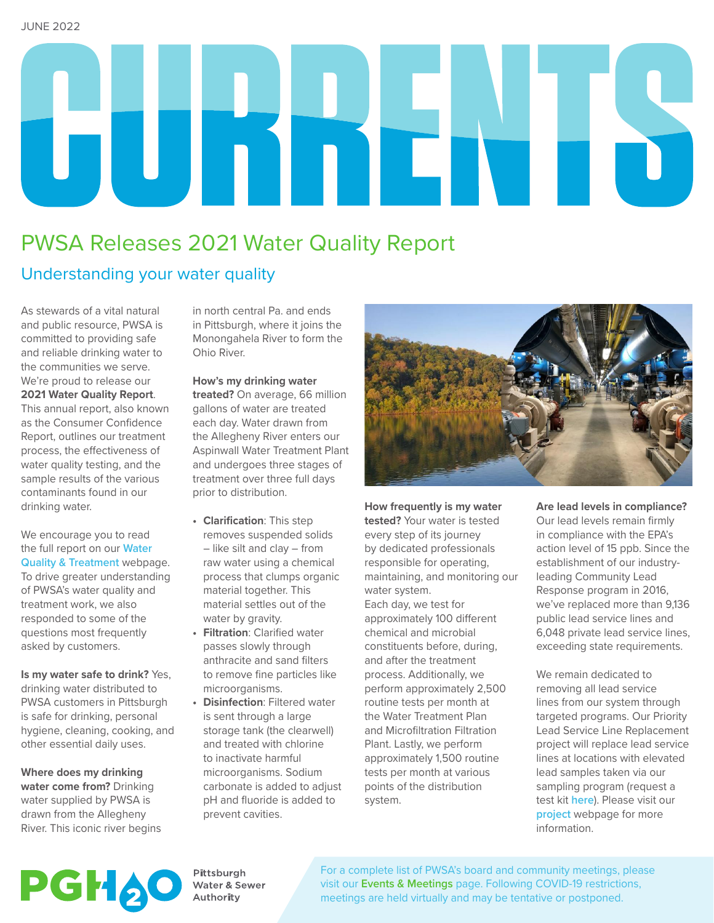# 

# PWSA Releases 2021 Water Quality Report

# Understanding your water quality

As stewards of a vital natural and public resource, PWSA is committed to providing safe and reliable drinking water to the communities we serve. We're proud to release our **2021 Water Quality Report**. This annual report, also known as the Consumer Confidence Report, outlines our treatment process, the effectiveness of water quality testing, and the sample results of the various contaminants found in our drinking water.

We encourage you to read the full report on our **[Water](https://www.pgh2o.com/your-water/water-quality-treatment)  [Quality & Treatment](https://www.pgh2o.com/your-water/water-quality-treatment)** webpage. To drive greater understanding of PWSA's water quality and treatment work, we also responded to some of the questions most frequently asked by customers.

**Is my water safe to drink?** Yes, drinking water distributed to PWSA customers in Pittsburgh is safe for drinking, personal hygiene, cleaning, cooking, and other essential daily uses.

**Where does my drinking water come from?** Drinking water supplied by PWSA is drawn from the Allegheny River. This iconic river begins

in north central Pa. and ends in Pittsburgh, where it joins the Monongahela River to form the Ohio River.

**How's my drinking water treated?** On average, 66 million gallons of water are treated each day. Water drawn from the Allegheny River enters our Aspinwall Water Treatment Plant and undergoes three stages of treatment over three full days prior to distribution.

- **• Clarification**: This step removes suspended solids – like silt and clay – from raw water using a chemical process that clumps organic material together. This material settles out of the water by gravity.
- **• Filtration**: Clarified water passes slowly through anthracite and sand filters to remove fine particles like microorganisms.
- **• Disinfection**: Filtered water is sent through a large storage tank (the clearwell) and treated with chlorine to inactivate harmful microorganisms. Sodium carbonate is added to adjust pH and fluoride is added to prevent cavities.



**How frequently is my water tested?** Your water is tested every step of its journey by dedicated professionals responsible for operating, maintaining, and monitoring our water system. Each day, we test for approximately 100 different chemical and microbial constituents before, during, and after the treatment process. Additionally, we perform approximately 2,500 routine tests per month at the Water Treatment Plan and Microfiltration Filtration Plant. Lastly, we perform approximately 1,500 routine tests per month at various points of the distribution system.

**Are lead levels in compliance?**  Our lead levels remain firmly in compliance with the EPA's action level of 15 ppb. Since the establishment of our industryleading Community Lead Response program in 2016, we've replaced more than 9,136 public lead service lines and 6,048 private lead service lines, exceeding state requirements.

We remain dedicated to removing all lead service lines from our system through targeted programs. Our Priority Lead Service Line Replacement project will replace lead service lines at locations with elevated lead samples taken via our sampling program (request a test kit **[here](https://lead.pgh2o.com/resources/request-a-lead-test-kit/)**). Please visit our **[project](https://www.pgh2o.com/projects-maintenance/search-all-projects/priority-lead-line-replacement)** webpage for more information.



Pittsburgh Water & Sewer Authority

For a complete list of PWSA's board and community meetings, please visit our **[Events & Meetings](http://www.pgh2o.com/events-meetings)** page. Following COVID-19 restrictions, meetings are held virtually and may be tentative or postponed.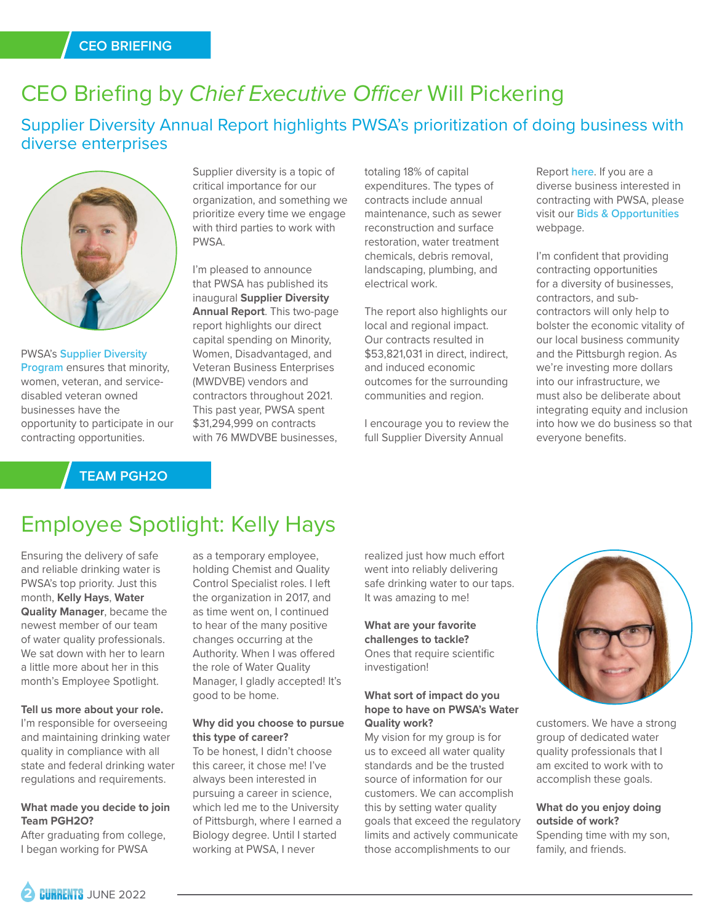# CEO Briefing by *Chief Executive Officer* Will Pickering

Supplier Diversity Annual Report highlights PWSA's prioritization of doing business with diverse enterprises



PWSA's **[Supplier Diversity](https://www.pgh2o.com/developers-contractors-vendors/supplier-diversity-program)  Program** ensures that minority, women, veteran, and servicedisabled veteran owned businesses have the opportunity to participate in our contracting opportunities.

# **TEAM PGH2O**

Supplier diversity is a topic of critical importance for our organization, and something we prioritize every time we engage with third parties to work with PWSA.

I'm pleased to announce that PWSA has published its inaugural **Supplier Diversity Annual Report**. This two-page report highlights our direct capital spending on Minority, Women, Disadvantaged, and Veteran Business Enterprises (MWDVBE) vendors and contractors throughout 2021. This past year, PWSA spent \$31,294,999 on contracts with 76 MWDVBE businesses,

totaling 18% of capital expenditures. The types of contracts include annual maintenance, such as sewer reconstruction and surface restoration, water treatment chemicals, debris removal, landscaping, plumbing, and electrical work.

The report also highlights our local and regional impact. Our contracts resulted in \$53,821,031 in direct, indirect, and induced economic outcomes for the surrounding communities and region.

I encourage you to review the full Supplier Diversity Annual

Report **[here](https://www.pgh2o.com/sites/default/files/2022-05/FINAL%20FOR%20WEBSITE_SupplierDiversity.pdf)**. If you are a diverse business interested in contracting with PWSA, please visit our **[Bids & Opportunities](https://www.pgh2o.com/developers-contractors-vendors/bids-opportunities)** webpage.

I'm confident that providing contracting opportunities for a diversity of businesses, contractors, and subcontractors will only help to bolster the economic vitality of our local business community and the Pittsburgh region. As we're investing more dollars into our infrastructure, we must also be deliberate about integrating equity and inclusion into how we do business so that everyone benefits.

# Employee Spotlight: Kelly Hays

Ensuring the delivery of safe and reliable drinking water is PWSA's top priority. Just this month, **Kelly Hays**, **Water Quality Manager**, became the newest member of our team of water quality professionals. We sat down with her to learn a little more about her in this month's Employee Spotlight.

#### **Tell us more about your role.**

I'm responsible for overseeing and maintaining drinking water quality in compliance with all state and federal drinking water regulations and requirements.

### **What made you decide to join Team PGH2O?**

After graduating from college, I began working for PWSA

as a temporary employee, holding Chemist and Quality Control Specialist roles. I left the organization in 2017, and as time went on, I continued to hear of the many positive changes occurring at the Authority. When I was offered the role of Water Quality Manager, I gladly accepted! It's good to be home.

### **Why did you choose to pursue this type of career?**

To be honest, I didn't choose this career, it chose me! I've always been interested in pursuing a career in science, which led me to the University of Pittsburgh, where I earned a Biology degree. Until I started working at PWSA, I never

realized just how much effort went into reliably delivering safe drinking water to our taps. It was amazing to me!

**What are your favorite challenges to tackle?** Ones that require scientific investigation!

### **What sort of impact do you hope to have on PWSA's Water Quality work?**

My vision for my group is for us to exceed all water quality standards and be the trusted source of information for our customers. We can accomplish this by setting water quality goals that exceed the regulatory limits and actively communicate those accomplishments to our



customers. We have a strong group of dedicated water quality professionals that I am excited to work with to accomplish these goals.

**What do you enjoy doing outside of work?**  Spending time with my son, family, and friends.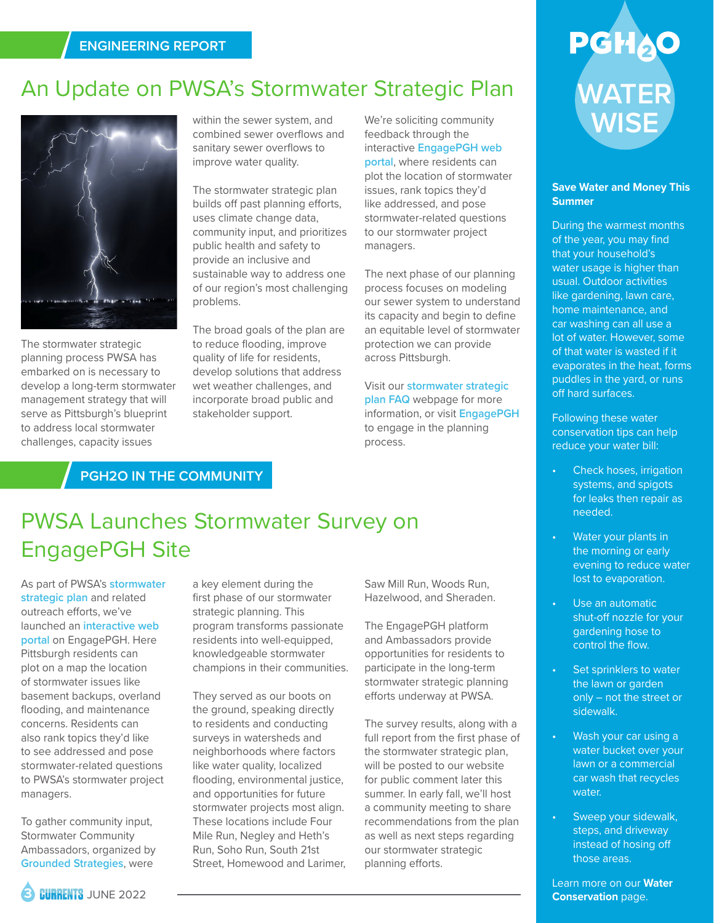# An Update on PWSA's Stormwater Strategic Plan



The stormwater strategic planning process PWSA has embarked on is necessary to develop a long-term stormwater management strategy that will serve as Pittsburgh's blueprint to address local stormwater challenges, capacity issues

within the sewer system, and combined sewer overflows and sanitary sewer overflows to improve water quality.

The stormwater strategic plan builds off past planning efforts, uses climate change data, community input, and prioritizes public health and safety to provide an inclusive and sustainable way to address one of our region's most challenging problems.

The broad goals of the plan are to reduce flooding, improve quality of life for residents, develop solutions that address wet weather challenges, and incorporate broad public and stakeholder support.

We're soliciting community feedback through the interactive **[EngagePGH web](http://engage.pittsburghpa.gov/stormwater)  [portal](http://engage.pittsburghpa.gov/stormwater)**, where residents can plot the location of stormwater issues, rank topics they'd like addressed, and pose stormwater-related questions to our stormwater project managers.

The next phase of our planning process focuses on modeling our sewer system to understand its capacity and begin to define an equitable level of stormwater protection we can provide across Pittsburgh.

Visit our **[stormwater strategic](https://www.pgh2o.com/your-water/stormwater/stormwater-plans/stormwater-strategic-plan-faq#:~:text=What%20is%20PWSA)  [plan FAQ](https://www.pgh2o.com/your-water/stormwater/stormwater-plans/stormwater-strategic-plan-faq#:~:text=What%20is%20PWSA)** webpage for more information, or visit **[EngagePGH](http://engage.pittsburghpa.gov/stormwater)** to engage in the planning process.

# **PGH2O IN THE COMMUNITY**

# PWSA Launches Stormwater Survey on EngagePGH Site

As part of PWSA's **[stormwater](https://www.pgh2o.com/your-water/stormwater/stormwater-plans/stormwater-strategic-plan-faq#:~:text=What%20is%20PWSA)  [strategic plan](https://www.pgh2o.com/your-water/stormwater/stormwater-plans/stormwater-strategic-plan-faq#:~:text=What%20is%20PWSA)** and related outreach efforts, we've launched an **[interactive web](https://engage.pittsburghpa.gov/stormwater)  [portal](https://engage.pittsburghpa.gov/stormwater)** on EngagePGH. Here Pittsburgh residents can plot on a map the location of stormwater issues like basement backups, overland flooding, and maintenance concerns. Residents can also rank topics they'd like to see addressed and pose stormwater-related questions to PWSA's stormwater project managers.

To gather community input, Stormwater Community Ambassadors, organized by **[Grounded Strategies](https://groundedpgh.org/projects/pwsa-ambassador/)**, were

a key element during the first phase of our stormwater strategic planning. This program transforms passionate residents into well-equipped, knowledgeable stormwater champions in their communities.

They served as our boots on the ground, speaking directly to residents and conducting surveys in watersheds and neighborhoods where factors like water quality, localized flooding, environmental justice, and opportunities for future stormwater projects most align. These locations include Four Mile Run, Negley and Heth's Run, Soho Run, South 21st Street, Homewood and Larimer, Saw Mill Run, Woods Run, Hazelwood, and Sheraden.

The EngagePGH platform and Ambassadors provide opportunities for residents to participate in the long-term stormwater strategic planning efforts underway at PWSA.

The survey results, along with a full report from the first phase of the stormwater strategic plan, will be posted to our website for public comment later this summer. In early fall, we'll host a community meeting to share recommendations from the plan as well as next steps regarding our stormwater strategic planning efforts.

# **WATER WISE**

### **Save Water and Money This Summer**

During the warmest months of the year, you may find that your household's water usage is higher than usual. Outdoor activities like gardening, lawn care, home maintenance, and car washing can all use a lot of water. However, some of that water is wasted if it evaporates in the heat, forms puddles in the yard, or runs off hard surfaces.

Following these water conservation tips can help reduce your water bill:

- Check hoses, irrigation systems, and spigots for leaks then repair as needed.
- Water your plants in the morning or early evening to reduce water lost to evaporation.
- Use an automatic shut-off nozzle for your gardening hose to control the flow.
- Set sprinklers to water the lawn or garden only – not the street or sidewalk.
- Wash your car using a water bucket over your lawn or a commercial car wash that recycles water.
- Sweep your sidewalk, steps, and driveway instead of hosing off those areas.

Learn more on our **[Water](http://www.pgh2o.com/water-conservation)  [Conservation](http://www.pgh2o.com/water-conservation)** page.